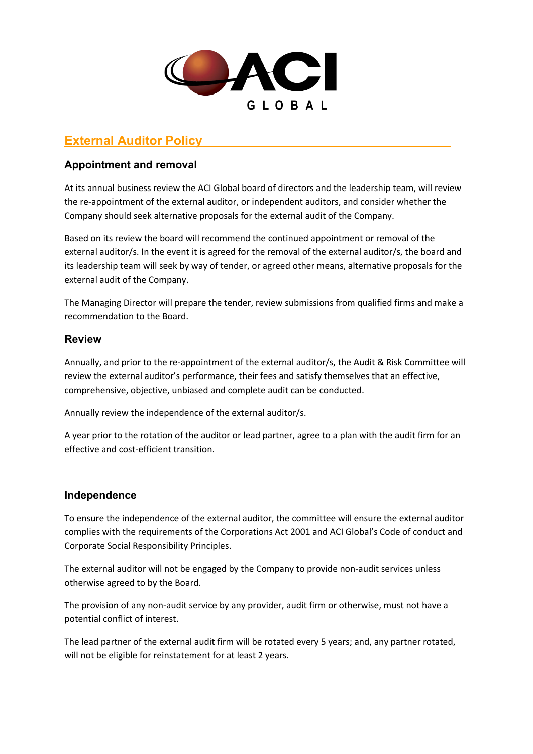

# **External Auditor Policy**

## **Appointment and removal**

At its annual business review the ACI Global board of directors and the leadership team, will review the re-appointment of the external auditor, or independent auditors, and consider whether the Company should seek alternative proposals for the external audit of the Company.

Based on its review the board will recommend the continued appointment or removal of the external auditor/s. In the event it is agreed for the removal of the external auditor/s, the board and its leadership team will seek by way of tender, or agreed other means, alternative proposals for the external audit of the Company.

The Managing Director will prepare the tender, review submissions from qualified firms and make a recommendation to the Board.

### **Review**

Annually, and prior to the re-appointment of the external auditor/s, the Audit & Risk Committee will review the external auditor's performance, their fees and satisfy themselves that an effective, comprehensive, objective, unbiased and complete audit can be conducted.

Annually review the independence of the external auditor/s.

A year prior to the rotation of the auditor or lead partner, agree to a plan with the audit firm for an effective and cost-efficient transition.

## **Independence**

To ensure the independence of the external auditor, the committee will ensure the external auditor complies with the requirements of the Corporations Act 2001 and ACI Global's Code of conduct and Corporate Social Responsibility Principles.

The external auditor will not be engaged by the Company to provide non-audit services unless otherwise agreed to by the Board.

The provision of any non-audit service by any provider, audit firm or otherwise, must not have a potential conflict of interest.

The lead partner of the external audit firm will be rotated every 5 years; and, any partner rotated, will not be eligible for reinstatement for at least 2 years.